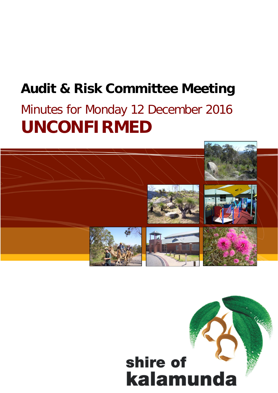## **Audit & Risk Committee Meeting**

# Minutes for Monday 12 December 2016 **UNCONFIRMED**



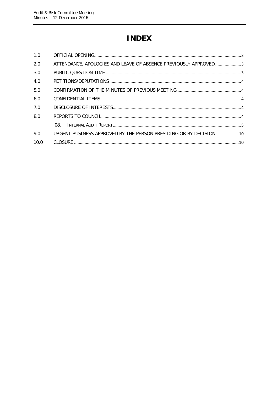## **INDEX**

| 1.0  |                                                                    |  |
|------|--------------------------------------------------------------------|--|
| 2.0  | ATTENDANCE, APOLOGIES AND LEAVE OF ABSENCE PREVIOUSLY APPROVED3    |  |
| 3.0  |                                                                    |  |
| 4.0  |                                                                    |  |
| 5.0  |                                                                    |  |
| 6.0  |                                                                    |  |
| 7.0  |                                                                    |  |
| 8.0  |                                                                    |  |
|      | 08.                                                                |  |
| 9.0  | URGENT BUSINESS APPROVED BY THE PERSON PRESIDING OR BY DECISION 10 |  |
| 10.0 |                                                                    |  |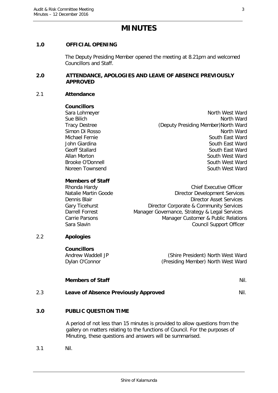### **MINUTES**

#### <span id="page-2-0"></span>**1.0 OFFICIAL OPENING**

The Deputy Presiding Member opened the meeting at 8.21pm and welcomed Councillors and Staff.

#### <span id="page-2-1"></span>**2.0 ATTENDANCE, APOLOGIES AND LEAVE OF ABSENCE PREVIOUSLY APPROVED**

#### 2.1 **Attendance**

#### **Councillors**

Sara Lohmeyer North West Ward North West Ward Sue Bilich North Ward Tracy Destree (Deputy Presiding Member)North Ward Simon Di Rosso North Ward North Ward North Ward North Ward North Ward North Ward North Ward North Ward North Ward North Ward North Ward North North National Action North National Action North National Action North National Michael Fernie South East Ward John Giardina South East Ward South East Ward Geoff Stallard South East Ward Allan Morton South West Ward Brooke O'Donnell South West Ward Noreen Townsend South West Ward

#### **Members of Staff**

| Rhonda Hardy         | <b>Chief Executive Officer</b>                |
|----------------------|-----------------------------------------------|
| Natalie Martin Goode | <b>Director Development Services</b>          |
| Dennis Blair         | <b>Director Asset Services</b>                |
| Gary Ticehurst       | Director Corporate & Community Services       |
| Darrell Forrest      | Manager Governance, Strategy & Legal Services |
| Carrie Parsons       | Manager Customer & Public Relations           |
| Sara Slavin          | <b>Council Support Officer</b>                |
|                      |                                               |

#### 2.2 **Apologies**

**Councillors**

Andrew Waddell JP (Shire President) North West Ward Dylan O'Connor (Presiding Member) North West Ward

#### **Members of Staff** Nil.

2.3 **Leave of Absence Previously Approved Nil.** 

#### <span id="page-2-2"></span>**3.0 PUBLIC QUESTION TIME**

A period of not less than 15 minutes is provided to allow questions from the gallery on matters relating to the functions of Council. For the purposes of Minuting, these questions and answers will be summarised.

3.1 Nil.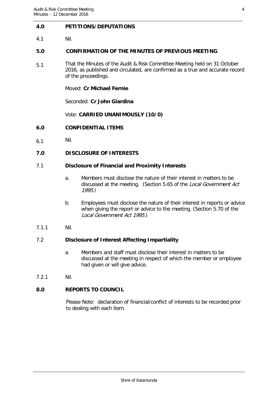#### <span id="page-3-0"></span>**4.0 PETITIONS/DEPUTATIONS**

4.1 Nil.

#### <span id="page-3-1"></span>**5.0 CONFIRMATION OF THE MINUTES OF PREVIOUS MEETING**

5.1 That the Minutes of the Audit & Risk Committee Meeting held on 31 October 2016, as published and circulated, are confirmed as a true and accurate record of the proceedings.

Moved: **Cr Michael Fernie**

Seconded: **Cr John Giardina**

Vote: **CARRIED UNANIMOUSLY (10/0)**

- <span id="page-3-2"></span>**6.0 CONFIDENTIAL ITEMS**
- 6.1 Nil.

#### <span id="page-3-3"></span>**7.0 DISCLOSURE OF INTERESTS**

#### 7.1 **Disclosure of Financial and Proximity Interests**

- a. Members must disclose the nature of their interest in matters to be discussed at the meeting. (Section 5.65 of the Local Government Act 1995.)
- b. Employees must disclose the nature of their interest in reports or advice when giving the report or advice to the meeting. (Section 5.70 of the Local Government Act 1995.)
- 7.1.1 Nil.

#### 7.2 **Disclosure of Interest Affecting Impartiality**

- a. Members and staff must disclose their interest in matters to be discussed at the meeting in respect of which the member or employee had given or will give advice.
- 7.2.1 Nil.

#### <span id="page-3-4"></span>**8.0 REPORTS TO COUNCIL**

Please Note: declaration of financial/conflict of interests to be recorded prior to dealing with each item.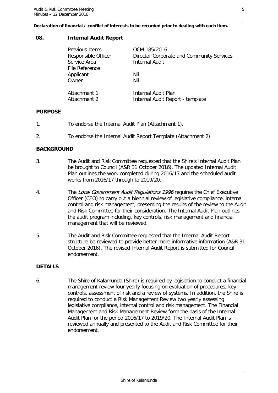#### **Declaration of financial / conflict of interests to be recorded prior to dealing with each item.**

#### <span id="page-4-0"></span>**08. Internal Audit Report**

| Previous Items              | OCM 185/2016                              |
|-----------------------------|-------------------------------------------|
| Responsible Officer         | Director Corporate and Community Services |
| Service Area                | <b>Internal Audit</b>                     |
| File Reference<br>Applicant | Nil                                       |
| Owner                       | Nil                                       |
| Attachment 1                | Internal Audit Plan                       |
| Attachment 2                | Internal Audit Report - template          |

#### **PURPOSE**

- 1. To endorse the Internal Audit Plan (Attachment 1).
- 2. To endorse the Internal Audit Report Template (Attachment 2).

#### **BACKGROUND**

- 3. The Audit and Risk Committee requested that the Shire's Internal Audit Plan be brought to Council (A&R 31 October 2016). The updated Internal Audit Plan outlines the work completed during 2016/17 and the scheduled audit works from 2016/17 through to 2019/20.
- 4. The Local Government Audit Regulations 1996 requires the Chief Executive Officer (CEO) to carry out a biennial review of legislative compliance, internal control and risk management, presenting the results of the review to the Audit and Risk Committee for their consideration. The Internal Audit Plan outlines the audit program including, key controls, risk management and financial management that will be reviewed.
- 5. The Audit and Risk Committee requested that the Internal Audit Report structure be reviewed to provide better more informative information (A&R 31 October 2016). The revised Internal Audit Report is submitted for Council endorsement.

#### **DETAILS**

6. The Shire of Kalamunda (Shire) is required by legislation to conduct a financial management review four yearly focusing on evaluation of procedures, key controls, assessment of risk and a review of systems. In addition, the Shire is required to conduct a Risk Management Review two yearly assessing legislative compliance, internal control and risk management. The Financial Management and Risk Management Review form the basis of the Internal Audit Plan for the period 2016/17 to 2019/20. The Internal Audit Plan is reviewed annually and presented to the Audit and Risk Committee for their endorsement.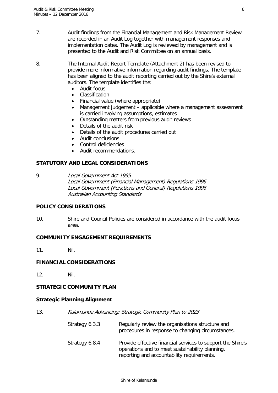7. Audit findings from the Financial Management and Risk Management Review are recorded in an Audit Log together with management responses and implementation dates. The Audit Log is reviewed by management and is presented to the Audit and Risk Committee on an annual basis.

8. The Internal Audit Report Template (Attachment 2) has been revised to provide more informative information regarding audit findings. The template has been aligned to the audit reporting carried out by the Shire's external auditors. The template identifies the:

- Audit focus
- Classification
- Financial value (where appropriate)
- Management judgement applicable where a management assessment is carried involving assumptions, estimates
- Outstanding matters from previous audit reviews
- Details of the audit risk
- Details of the audit procedures carried out
- Audit conclusions
- Control deficiencies
- Audit recommendations.

#### **STATUTORY AND LEGAL CONSIDERATIONS**

9. Local Government Act 1995 Local Government (Financial Management) Regulations 1996 Local Government (Functions and General) Regulations 1996 Australian Accounting Standards

#### **POLICY CONSIDERATIONS**

10. Shire and Council Policies are considered in accordance with the audit focus area.

#### **COMMUNITY ENGAGEMENT REQUIREMENTS**

11. Nil.

#### **FINANCIAL CONSIDERATIONS**

12. Nil.

#### **STRATEGIC COMMUNITY PLAN**

#### **Strategic Planning Alignment**

| Kalamunda Advancing: Strategic Community Plan to 2023 |
|-------------------------------------------------------|
|                                                       |

| Strategy 6.3.3 | Regularly review the organisations structure and<br>procedures in response to changing circumstances.                                                        |
|----------------|--------------------------------------------------------------------------------------------------------------------------------------------------------------|
| Strategy 6.8.4 | Provide effective financial services to support the Shire's<br>operations and to meet sustainability planning,<br>reporting and accountability requirements. |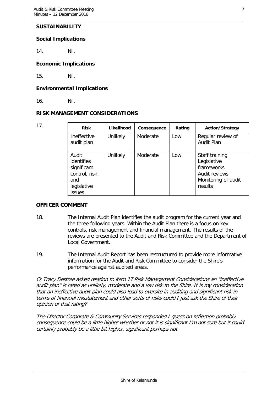#### **SUSTAINABILITY**

#### **Social Implications**

14. Nil.

#### **Economic Implications**

15. Nil.

#### **Environmental Implications**

16. Nil.

#### **RISK MANAGEMENT CONSIDERATIONS**

| 17. | <b>Risk</b>                                                                                | Likelihood | Consequence | Rating | <b>Action/Strategy</b>                                                                         |
|-----|--------------------------------------------------------------------------------------------|------------|-------------|--------|------------------------------------------------------------------------------------------------|
|     | Ineffective<br>audit plan                                                                  | Unlikely   | Moderate    | Low    | Regular review of<br><b>Audit Plan</b>                                                         |
|     | Audit<br>identifies<br>significant<br>control, risk<br>and<br>legislative<br><b>issues</b> | Unlikely   | Moderate    | Low    | Staff training<br>Legislative<br>frameworks<br>Audit reviews<br>Monitoring of audit<br>results |

#### **OFFICER COMMENT**

- 18. The Internal Audit Plan identifies the audit program for the current year and the three following years. Within the Audit Plan there is a focus on key controls, risk management and financial management. The results of the reviews are presented to the Audit and Risk Committee and the Department of Local Government.
- 19. The Internal Audit Report has been restructured to provide more informative information for the Audit and Risk Committee to consider the Shire's performance against audited areas.

Cr Tracy Destree asked relation to item 17 Risk Management Considerations an "ineffective audit plan" is rated as unlikely, moderate and a low risk to the Shire. It is my consideration that an ineffective audit plan could also lead to oversite in auditing and significant risk in terms of financial misstatement and other sorts of risks could I just ask the Shire of their opinion of that rating?

The Director Corporate & Community Services responded I guess on reflection probably consequence could be a little higher whether or not it is significant I'm not sure but it could certainly probably be a little bit higher, significant perhaps not.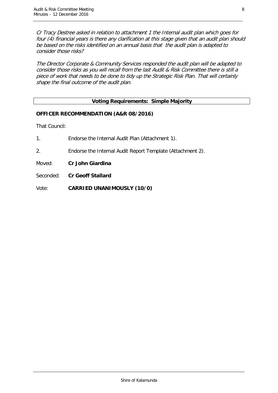Cr Tracy Destree asked in relation to attachment 1 the Internal audit plan which goes for four (4) financial years is there any clarification at this stage given that an audit plan should be based on the risks identified on an annual basis that the audit plan is adapted to consider those risks?

The Director Corporate & Community Services responded the audit plan will be adapted to consider those risks as you will recall from the last Audit & Risk Committee there is still a piece of work that needs to be done to tidy up the Strategic Risk Plan. That will certainly shape the final outcome of the audit plan.

#### **Voting Requirements: Simple Majority**

#### **OFFICER RECOMMENDATION (A&R 08/2016)**

That Council:

- 1. Endorse the Internal Audit Plan (Attachment 1). 2. Endorse the Internal Audit Report Template (Attachment 2).
- Moved: **Cr John Giardina**
- Seconded: **Cr Geoff Stallard**

Vote: **CARRIED UNANIMOUSLY (10/0)**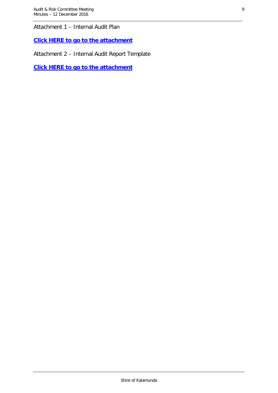Attachment 1 – Internal Audit Plan

**[Click HERE to go to the attachment](http://www.kalamunda.wa.gov.au/files/39faace3-76c1-4dfb-9291-a6d600d561d5/Item-8-Att-1-AR-12-December-2016.pdf)**

Attachment 2 – Internal Audit Report Template

**[Click HERE to go to the attachment](http://www.kalamunda.wa.gov.au/files/25e76d20-dc44-4c3b-8276-a6d600d58ade/Item-8-Att-2-AR-12-December-2016.pdf)**